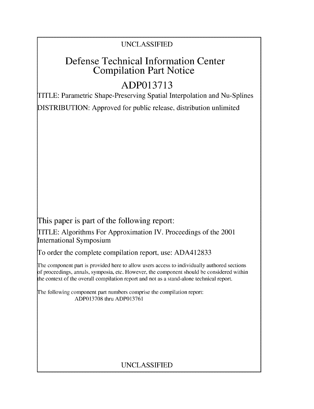# UNCLASSIFIED

# Defense Technical Information Center Compilation Part Notice

# **ADP013713**

TITLE: Parametric Shape-Preserving Spatial Interpolation and Nu-Splines

DISTRIBUTION: Approved for public release, distribution unlimited

This paper is part of the following report:

TITLE: Algorithms For Approximation IV. Proceedings of the 2001 International Symposium

To order the complete compilation report, use: ADA412833

The component part is provided here to allow users access to individually authored sections f proceedings, annals, symposia, etc. However, the component should be considered within the context of the overall compilation report and not as a stand-alone technical report.

The following component part numbers comprise the compilation report: ADP013708 thru ADP013761

# UNCLASSIFIED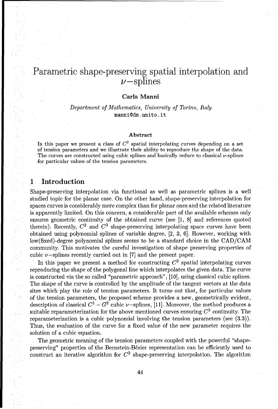## Parametric shape-preserving spatial interpolation and  $\nu$ -splines

#### Carla Manni

Department *of Mathematics, University of Torino, Italy* mannidm, unito. it

#### Abstract

In this paper we present a class of  $C^2$  spatial interpolating curves depending on a set of tension parameters and we illustrate their ability to reproduce the shape of the data. The curves are constructed using cubic splines and basically reduce to classical  $\nu$ -splines for particular values of the tension parameters.

### **<sup>1</sup>**Introduction

Shape-preserving interpolation via functional as well as parametric splines is a well studied topic for the planar case. On the other hand, shape-preserving interpolation for spaces curves is considerably more complex than for planar ones and the related literature is apparently limited. On this concern, a considerable part of the available schemes only ensures geometric continuity of the obtained curve (see [1, 8] and references quoted therein). Recently,  $C^2$  and  $C^3$  shape-preserving interpolating space curves have been obtained using polynomial splines of variable degree, [2, 3, 6]. However, working with low(fixed)-degree polynomial splines seems to be a standard choice in the CAD/CAM community. This motivates the careful investigation of shape preserving properties of cubic  $\nu$ -splines recently carried out in [7] and the present paper.

In this paper we present a method for constructing  $C<sup>2</sup>$  spatial interpolating curves reproducing the shape of the polygonal line which interpolates the given data. The curve is constructed via the so called "parametric approach", [10], using classical cubic splines. The shape of the curve is controlled by the amplitude of the tangent vectors at the data sites which play the role of tension parameters. It turns out that, for particular values of the tension parameters, the proposed scheme provides a new, geometrically evident, description of classical  $C^1 - G^2$  cubic  $\nu$ -splines, [11]. Moreover, the method produces a suitable reparameterization for the above mentioned curves ensuring **C2** continuity. The reparameterization is a cubic polynomial involving the tension parameters (see (3.3)). Thus, the evaluation of the curve for a fixed value of the new parameter requires the solution of a cubic equation.

The geometric meaning of the tension parameters coupled with the powerful "shapepreserving" properties of the Bernstein-B6zier representation can be efficiently used to construct an iterative algorithm for  $C<sup>2</sup>$  shape-preserving interpolation. The algorithm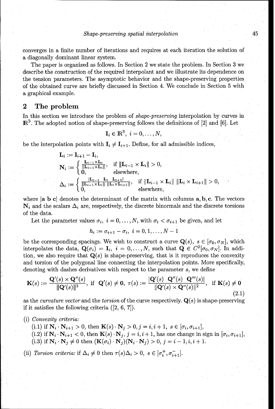converges in a finite number of iterations and requires at each iteration the solution of a diagonally dominant linear system.

The paper is organized as follows. In Section 2 we state the problem. In Section 3 we describe the construction of the required interpolant and we illustrate its dependence on the tension parameters. The asymptotic behavior and the shape-preserving properties of the obtained curve are briefly discussed in Section 4. We conclude in Section 5 with a graphical example.

#### 2 The problem

In this section we introduce the problem of *shape-preserving* interpolation by curves in  $\mathbb{R}^3$ . The adopted notion of shape-preserving follows the definitions of [2] and [6]. Let

$$
\mathbf{I}_i \in \mathbb{R}^3, \ i = 0, \dots, N,
$$

be the interpolation points with  $\mathbf{I}_i \neq \mathbf{I}_{i+1}$ . Define, for all admissible indices,

$$
\mathbf{L}_{i} := \mathbf{I}_{i+1} - \mathbf{I}_{i},
$$
\n
$$
\mathbf{N}_{i} := \begin{cases}\n\frac{\mathbf{L}_{i-1} \times \mathbf{L}_{i}}{\|\mathbf{L}_{i-1} \times \mathbf{L}_{i}\|}, & \text{if } \|\mathbf{L}_{i-1} \times \mathbf{L}_{i}\| > 0, \\
0, & \text{elsewhere,} \\
\Delta_{i} := \begin{cases}\n\frac{\|\mathbf{L}_{i-1} - \mathbf{L}_{i}}{\|\mathbf{L}_{i-1} \times \mathbf{L}_{i}\| \|\mathbf{L}_{i} \times \mathbf{L}_{i+1}\|}, & \text{if } \|\mathbf{L}_{i-1} \times \mathbf{L}_{i}\| \|\mathbf{L}_{i} \times \mathbf{L}_{i+1}\| > 0, \\
0, & \text{elsewhere,} \n\end{cases}
$$

where  $|a\ b\ c|$  denotes the determinant of the matrix with columns  $a, b, c$ . The vectors  $N_i$  and the scalars  $\Delta_i$  are, respectively, the discrete binormals and the discrete torsions of the data.

Let the parameter values  $\sigma_i$ ,  $i = 0, \ldots, N$ , with  $\sigma_i < \sigma_{i+1}$  be given, and let

$$
h_i := \sigma_{i+1} - \sigma_i, \ i = 0, 1, \dots, N-1
$$

be the corresponding spacings. We wish to construct a curve  $Q(s)$ ,  $s \in [\sigma_0, \sigma_N]$ , which interpolates the data,  $\mathbf{Q}(\sigma_i) = \mathbf{I}_i$ ,  $i = 0, \ldots, N$ , such that  $\mathbf{Q} \in C^2[\sigma_0, \sigma_N]$ . In addition, we also require that  $\mathbf{Q}(s)$  is shape-preserving, that is it reproduces the convexity and torsion of the polygonal line connecting the interpolation points. More specifically, denoting with dashes derivatives with respect to the parameter s, we define

$$
\mathbf{K}(s) := \frac{\mathbf{Q}'(s) \times \mathbf{Q}''(s)}{\|\mathbf{Q}'(s)\|^3}, \text{ if } \mathbf{Q}'(s) \neq \mathbf{0}, \ \tau(s) := \frac{|\mathbf{Q}'(s) \ \mathbf{Q}''(s) \ \mathbf{Q}'''(s)|}{\|\mathbf{Q}'(s) \times \mathbf{Q}''(s)\|^2}, \text{ if } \mathbf{K}(s) \neq \mathbf{0}
$$
\n(2.1)

as the *curvature vector* and the *torsion* of the curve respectively.  $Q(s)$  is shape-preserving if it satisfies the following criteria ([2, 6, **7]).**

(i) Convexity criteria:

(i.1) if  $N_i \cdot N_{i+1} > 0$ , then  $K(s) \cdot N_j > 0$ ,  $j = i, i + 1, s \in [\sigma_i, \sigma_{i+1}],$ (i.2) if  $N_i \cdot N_{i+1} < 0$ , then  $K(s) \cdot N_j$ ,  $j = i, i + 1$ , has one change in sign in  $[\sigma_i, \sigma_{i+1}]$ , (i.3) if  $N_i \cdot N_j \neq 0$  then  $(K(\sigma_i) \cdot N_j)(N_i \cdot N_j) > 0, j = i - 1, i, i + 1$ .

(ii) Torsion criteria: if  $\Delta_i \neq 0$  then  $\tau(s)\Delta_i > 0$ ,  $s \in [\sigma_i^+, \sigma_{i+1}^-]$ .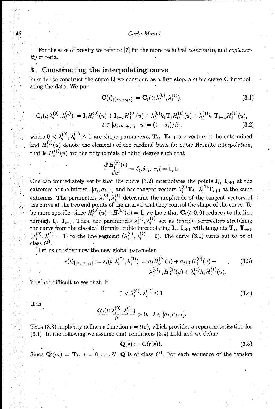#### 46 Carla Manni

For the sake of brevity we refer to [7] for the more technical *collinearity* and *coplanar*ity criteria.

#### **3** Constructing the interpolating curve

In order to construct the curve **Q** we consider, as a first step, a cubic curve **C** interpolating the data. We put

$$
\mathbf{C}(t)|_{[\sigma_i,\sigma_{i+1}]} := \mathbf{C}_i(t;\lambda_i^{(0)},\lambda_i^{(1)}),
$$
\n(3.1)

$$
\mathbf{C}_{i}(t; \lambda_{i}^{(0)}, \lambda_{i}^{(1)}) := \mathbf{I}_{i}H_{0}^{(0)}(u) + \mathbf{I}_{i+1}H_{1}^{(0)}(u) + \lambda_{i}^{(0)}h_{i}\mathbf{T}_{i}H_{0}^{(1)}(u) + \lambda_{i}^{(1)}h_{i}\mathbf{T}_{i+1}H_{1}^{(1)}(u),
$$
  
\n
$$
t \in [\sigma_{i}, \sigma_{i+1}], \quad u := (t - \sigma_{i})/h_{i}, \tag{3.2}
$$

where  $0 < \lambda_i^{(0)}, \lambda_i^{(1)} \leq 1$  are shape parameters,  $\mathbf{T}_i$ ,  $\mathbf{T}_{i+1}$  are vectors to be determined and  $H_i^{(j)}(u)$  denote the elements of the cardinal basis for cubic Hermite interpolation, that is  $H_i^{(j)}(u)$  are the polynomials of third degree such that

$$
\frac{d^l H_i^{(j)}(r)}{d u^l} = \delta_{lj} \delta_{ri}, \ r, l = 0, 1.
$$

One can immediately verify that the curve (3.2) interpolates the points  $\mathbf{I}_i$ ,  $\mathbf{I}_{i+1}$  at the extremes of the interval  $[\sigma_i, \sigma_{i+1}]$  and has tangent vectors  $\lambda_i^{(0)}$ **T**<sub>i</sub>,  $\lambda_i^{(1)}$ **T**<sub>i+1</sub> at the same extremes. The parameters  $\lambda_i^{(0)}, \lambda_i^{(1)}$  determine the amplitude of the tangent vectors of the curve at the two end points of the interval and they control the shape of the curve. To be more specific, since  $H_0^{(0)}(u) + H_1^{(0)}(u) = 1$ , we have that  $\mathbf{C}_i(t; 0, 0)$  reduces to the line through  $\mathbf{I}_i$ ,  $\mathbf{I}_{i+1}$ . Thus, the parameters  $\lambda_i^{(0)}, \lambda_i^{(1)}$  act as tension parameters stretching the curve from the classical Hermite cubic interpolating  $I_i$ ,  $I_{i+1}$  with tangents  $T_i$ ,  $T_{i+1}$  $(\lambda_i^{(0)}, \lambda_i^{(1)} = 1)$  to the line segment  $(\lambda_i^{(0)}, \lambda_i^{(1)} = 0)$ . The curve (3.1) turns out to be of  $class\ G^1$ 

Let us consider now the new global parameter

$$
s(t)_{|[\sigma_i, \sigma_{i+1}]} := s_i(t; \lambda_i^{(0)}, \lambda_i^{(1)}) := \sigma_i H_0^{(0)}(u) + \sigma_{i+1} H_1^{(0)}(u) + \lambda_i^{(0)} h_i H_1^{(1)}(u). \tag{3.3}
$$

It is not difficult to see that, if

$$
0 < \lambda_i^{(0)}, \lambda_i^{(1)} \le 1 \tag{3.4}
$$

 $_{\rm then}$ 

$$
\frac{ds_i(t;\lambda_i^{(0)},\lambda_i^{(1)})}{dt}>0,\ \ t\in[\sigma_i,\sigma_{i+1}].
$$

Thus (3.3) implicitly defines a function  $t = t(s)$ , which provides a reparameterization for (3.1). In the following we assume that conditions (3.4) hold and we define

$$
\mathbf{Q}(s) := \mathbf{C}(t(s)).\tag{3.5}
$$

Since  $\mathbf{Q}'(\sigma_i) = \mathbf{T}_i$ ,  $i = 0, ..., N$ , **Q** is of class  $C^1$ . For each sequence of the tension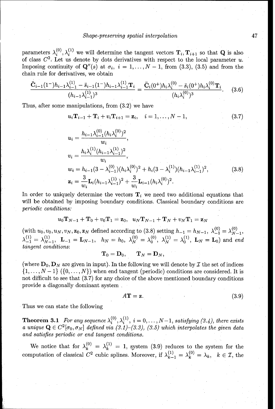parameters  $\lambda_i^{(0)}, \lambda_i^{(1)}$  we will determine the tangent vectors  $\mathbf{T}_i, \mathbf{T}_{i+1}$  so that **Q** is also of class  $C^2$ . Let us denote by dots derivatives with respect to the local parameter u. Imposing continuity of  $\mathbf{Q}''(s)$  at  $\sigma_i$ ,  $i = 1, \ldots, N-1$ , from (3.3), (3.5) and from the chain rule for derivatives, we obtain

$$
\frac{\ddot{\mathbf{C}}_{i-1}(1^-)h_{i-1}\lambda_{i-1}^{(1)} - \ddot{s}_{i-1}(1^-)h_{i-1}\lambda_{i-1}^{(1)}\mathbf{T}_i}{(h_{i-1}\lambda_{i-1}^{(1)})^3} = \frac{\ddot{\mathbf{C}}_i(0^+)h_i\lambda_i^{(0)} - \ddot{s}_i(0^+)h_i\lambda_i^{(0)}\mathbf{T}_i}{(h_i\lambda_i^{(0)})^3}.
$$
 (3.6)

Thus, after some manipulations, from (3.2) we have

$$
u_i \mathbf{T}_{i-1} + \mathbf{T}_i + v_i \mathbf{T}_{i+1} = \mathbf{z}_i, \quad i = 1, ..., N-1,
$$
 (3.7)

$$
u_i = \frac{h_{i-1}\lambda_{i-1}^{(0)}(h_i\lambda_i^{(0)})^2}{w_i},
$$
  
\n
$$
v_i = \frac{h_i\lambda_i^{(1)}(h_{i-1}\lambda_{i-1}^{(1)})^2}{w_i},
$$
  
\n
$$
w_i = h_{i-1}(3 - \lambda_{i-1}^{(0)})(h_i\lambda_i^{(0)})^2 + h_i(3 - \lambda_i^{(1)})(h_{i-1}\lambda_{i-1}^{(1)})^2,
$$
  
\n
$$
\mathbf{z}_i = \frac{3}{w_i}\mathbf{L}_i(h_{i-1}\lambda_{i-1}^{(1)})^2 + \frac{3}{w_i}\mathbf{L}_{i-1}(h_i\lambda_i^{(0)})^2.
$$
 (3.8)

In order to uniquely determine the vectors  $T_i$  we need two additional equations that will be obtained by imposing boundary conditions. Classical boundary conditions are *periodic conditions:*

$$
u_0\mathbf{T}_{N-1}+\mathbf{T}_0+v_0\mathbf{T}_1=\mathbf{z}_0,\ \ u_N\mathbf{T}_{N-1}+\mathbf{T}_N+v_N\mathbf{T}_1=\mathbf{z}_N
$$

 $(\text{with } u_0, v_0, u_N, v_N, \mathbf{z}_0, \mathbf{z}_N \text{ defined according to (3.8) setting } h_{-1} = h_{N-1}, \ \lambda_{-1}^{(0)} = \lambda_N^{(0)}$  $\lambda_{-1}^{(1)} = \lambda_{N-1}^{(1)}$ ,  $\mathbf{L}_{-1} = \mathbf{L}_{N-1}$ ,  $h_N = h_0$ ,  $\lambda_N^{(0)} = \lambda_0^{(0)}$ ,  $\lambda_N^{(1)} = \lambda_0^{(1)}$ ,  $\mathbf{L}_N = \mathbf{L}_0$ ) and end tangent conditions:

$$
\mathbf{T}_0=\mathbf{D}_0,\qquad \mathbf{T}_N=\mathbf{D}_N,
$$

(where  $D_0$ ,  $D_N$  are given in input). In the following we will denote by  $\mathcal I$  the set of indices  $\{1,\ldots,N-1\}$  ( $\{0,\ldots,N\}$ ) when end tangent (periodic) conditions are considered. It is not difficult to see that (3.7) for any choice of the above mentioned boundary conditions provide a diagonally dominant system

$$
A\mathbf{T} = \mathbf{z}.\tag{3.9}
$$

Thus we can state the following

**Theorem 3.1** For any sequence  $\lambda_i^{(0)}, \lambda_i^{(1)}, i = 0, \ldots, N-1$ , satisfying (3.4), there exists a unique  $\mathbf{Q} \in C^2[\sigma_0, \sigma_N]$  defined via  $(3.1)$ – $(3.3)$ ,  $(3.5)$  which interpolates the given data *and satisfies periodic or* end tangent conditions.

We notice that for  $\lambda_k^{(0)} = \lambda_k^{(1)} = 1$ , system (3.9) reduces to the system for the computation of classical  $C^2$  cubic splines. Moreover, if  $\lambda_{k-1}^{(1)} = \lambda_k^{(0)} = \lambda_k$ ,  $k \in \mathcal{I}$ , the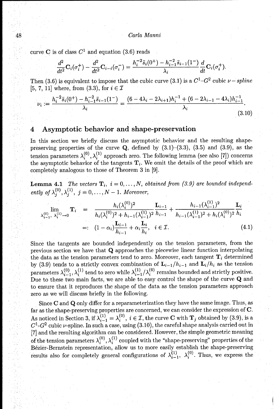#### 48 Carla Manni

curve C is of class  $C^1$  and equation (3.6) reads

$$
\frac{d^2}{dt^2}\mathbf{C}_i(\sigma_i^+) - \frac{d^2}{dt^2}\mathbf{C}_{i-i}(\sigma_i^-) = \frac{h_i^{-2}\ddot{s}_i(0^+) - h_{i-1}^{-2}\ddot{s}_{i-1}(1^-)}{\lambda_i}\frac{d}{dt}\mathbf{C}_i(\sigma_i^+).
$$

Then (3.6) is equivalent to impose that the cubic curve (3.1) is a  $C^1$ - $G^2$  cubic  $\nu$  - *spline* [5, 7, 11] where, from  $(3.3)$ , for  $i \in \mathcal{I}$ 

$$
\nu_i := \frac{h_i^{-2} \ddot{s}_i(0^+) - h_{i-1}^{-2} \ddot{s}_{i-1}(1^-)}{\lambda_i} = \frac{(6 - 4\lambda_i - 2\lambda_{i+1})h_i^{-1} + (6 - 2\lambda_{i-1} - 4\lambda_i)h_{i-1}^{-1}}{\lambda_i}.
$$
\n(3.10)

## 4 Asymptotic behavior and shape-preservation

In this section we briefly discuss the asymptotic behavior and the resulting shapepreserving properties of the curve **Q,** defined by (3.1)-(3.3), (3.5) and (3.9), as the tension parameters  $\lambda_i^{(0)}, \lambda_i^{(1)}$  approach zero. The following lemma (see also [7]) concerns the asymptotic behavior of the tangents  $T_i$ . We omit the details of the proof which are completely analogous to those of Theorem 3 in [9].

**Lemma 4.1** *The vectors*  $\mathbf{T}_i$ ,  $i = 0, \ldots, N$ , obtained from (3.9) are bounded independ*ently of*  $\lambda_i^{(0)}, \lambda_i^{(1)}, j = 0, ..., N - 1$ *. Moreover,* 

$$
\lim_{\lambda_{i-1}^{(0)}, \lambda_i^{(1)} \to 0} \mathbf{T}_i = \frac{h_i(\lambda_i^{(0)})^2}{h_i(\lambda_i^{(0)})^2 + h_{i-1}(\lambda_{i-1}^{(1)})^2} \frac{\mathbf{L}_{i-1}}{h_{i-1}} + \frac{h_{i-1}(\lambda_{i-1}^{(1)})^2}{h_{i-1}(\lambda_{i-1}^{(1)})^2 + h_i(\lambda_i^{(0)})^2} \frac{\mathbf{L}_i}{h_i}
$$
\n
$$
=: (1 - \alpha_i) \frac{\mathbf{L}_{i-1}}{h_{i-1}} + \alpha_i \frac{\mathbf{L}_i}{h_i}, \quad i \in \mathcal{I}.
$$
\n(4.1)

Since the tangents are bounded independently on the tension parameters, from the previous section we have that **Q** approaches the piecewise linear function interpolating the data as the tension parameters tend to zero. Moreover, each tangent  $T_i$  determined by (3.9) tends to a strictly convex combination of  $\mathbf{L}_{i-1} / h_{i-1}$  and  $\mathbf{L}_i / h_i$  as the tension parameters  $\lambda_{i-1}^{(0)}, \lambda_i^{(1)}$  tend to zero while  $\lambda_{i-1}^{(1)}/\lambda_i^{(0)}$  remains bounded and strictly positive. Due to these two main facts, we are able to easy control the shape of the curve **Q** and to ensure that it reproduces the shape of the data as the tension parameters approach zero as we will discuss briefly in the following.

Since C and **Q** only differ for a reparameterization they have the same image. Thus, as far as the shape-preserving properties are concerned, we can consider the expression of **C.** As noticed in Section 3, if  $\lambda_{i-1}^{(1)} = \lambda_i^{(0)}$ ,  $i \in \mathcal{I}$ , the curve C with  $\mathbf{T}_j$  obtained by (3.9), is a  $C^{1}$ - $G^{2}$  cubic  $\nu$ -spline. In such a case, using (3.10), the careful shape analysis carried out in [7] and the resulting algorithm can be considered. However, the simple geometric meaning of the tension parameters  $\lambda_i^{(0)}, \lambda_i^{(1)}$  coupled with the "shape-preserving" properties of the B6zier-Bernstein representation, allow us to more easily establish the shape-preserving results also for completely general configurations of  $\lambda_{i-1}^{(1)}$ ,  $\lambda_i^{(0)}$ . Thus, we express the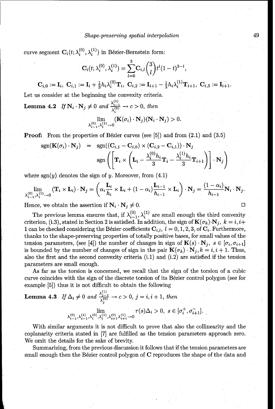curve segment  $\mathbf{C}_i(t; \lambda_i^{(0)}, \lambda_i^{(1)})$  in Bézier-Bernstein form:

$$
\mathbf{C}_i(t;\lambda_i^{(0)},\lambda_i^{(1)})=\sum_{l=0}^3\mathbf{C}_{i,l}\binom{3}{l}t^l(1-t)^{3-l},
$$

$$
\mathbf{C}_{i,0} := \mathbf{I}_i, \ \mathbf{C}_{i,1} := \mathbf{I}_i + \frac{1}{3} h_i \lambda_i^{(0)} \mathbf{T}_i, \ \mathbf{C}_{i,2} := \mathbf{I}_{i+1} - \frac{1}{3} h_i \lambda_i^{(1)} \mathbf{T}_{i+1}, \ \mathbf{C}_{i,3} := \mathbf{I}_{i+1}
$$

Let us consider at the beginning the convexity criteria.

**Lemma 4.2** If 
$$
\mathbf{N}_i \cdot \mathbf{N}_j \neq 0
$$
 and  $\frac{\lambda_{i-1}^{(1)}}{\lambda_i^{(0)}} \to c > 0$ , then  

$$
\lim_{\lambda_{i-1}^{(0)}, \lambda_i^{(1)} \to 0} (\mathbf{K}(\sigma_i) \cdot \mathbf{N}_j)(\mathbf{N}_i \cdot \mathbf{N}_j) > 0.
$$

**Proof:** From the properties of Bézier curves (see  $[5]$ ) and from  $(2.1)$  and  $(3.5)$ 

$$
sgn(\mathbf{K}(\sigma_i) \cdot \mathbf{N}_j) = sgn((\mathbf{C}_{i,1} - \mathbf{C}_{i,0}) \times (\mathbf{C}_{i,2} - \mathbf{C}_{i,1})) \cdot \mathbf{N}_j
$$
  

$$
sgn\left(\left[\mathbf{T}_i \times \left(\mathbf{L}_i - \frac{\lambda_i^{(0)} h_i}{3} \mathbf{T}_i - \frac{\lambda_i^{(1)} h_i}{3} \mathbf{T}_{i+1}\right)\right] \cdot \mathbf{N}_j\right)
$$

where  $sgn(y)$  denotes the sign of y. Moreover, from  $(4.1)$ 

$$
\lim_{\lambda_{i-1}^{(0)},\lambda_i^{(1)}\to 0} (\mathbf{T}_i \times \mathbf{L}_i) \cdot \mathbf{N}_j = \left(\alpha_i \frac{\mathbf{L}_i}{h_i} \times \mathbf{L}_i + (1-\alpha_i) \frac{\mathbf{L}_{i-1}}{h_{i-1}} \times \mathbf{L}_i\right) \cdot \mathbf{N}_j = \frac{(1-\alpha_i)}{h_{i-1}} \mathbf{N}_i \cdot \mathbf{N}_j.
$$

Hence, we obtain the assertion if  $N_i \cdot N_j \neq 0$ .

The previous lemma ensures that, if  $\lambda_{i-1}^{(0)}, \lambda_i^{(1)}$  are small enough the third convexity criterion, (i.3), stated in Section 2 is satisfied. In addition, the sign of  $\mathbf{K}(\sigma_k)\cdot\mathbf{N}_j$ ,  $k=i,i+$ 1 can be checked considering the Bézier coefficients  $C_{i,l}$ ,  $l = 0, 1, 2, 3$ , of  $C_i$ . Furthermore, thanks to the shape-preserving properties of totally positive bases, for small values of the tension parameters, (see [4]) the number of changes in sign of  $\mathbf{K}(s) \cdot \mathbf{N}_j$ ,  $s \in [\sigma_i, \sigma_{i+1}]$ is bounded by the number of changes of sign in the pair  $\mathbf{K}(\sigma_k) \cdot \mathbf{N}_j$ ,  $k = i, i + 1$ . Thus, also the first and the second convexity criteria (i.1) and (i.2) are satisfied if the tension parameters are small enough.

As far as the torsion is concerned, we recall that the sign of the torsion of a cubic curve coincides with the sign of the discrete torsion of its Bézier control polygon (see for example [5]) thus it is not difficult to obtain the following

**Lemma 4.3** If 
$$
\Delta_i \neq 0
$$
 and  $\frac{\lambda_{j-1}^{(1)}}{\lambda_j^{(0)}} \to c > 0$ ,  $j = i, i + 1$ , then  

$$
\lim_{\lambda_{i-1}^{(0)}, \lambda_{i-1}^{(1)}, \lambda_i^{(0)}, \lambda_i^{(1)}, \lambda_{i+1}^{(0)}, \lambda_{i+1}^{(1)} \to 0} \tau(s) \Delta_i > 0, \ s \in [\sigma_i^+, \sigma_{i+1}^-].
$$

With similar arguments it is not difficult to prove that also the collinearity and the coplanarity criteria stated in [7] are fulfilled as the tension parameters approach zero. We omit the details for the sake of brevity.

Summarizing, from the previous discussion it follows that if the tension parameters are small enough then the Bézier control polygon of C reproduces the shape of the data and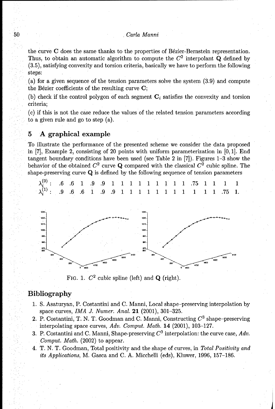#### 50 Carla Manni

the curve  $C$  does the same thanks to the properties of Bézier-Bernstein representation. Thus, to obtain an automatic algorithm to compute the  $C<sup>2</sup>$  interpolant **Q** defined by (3.5), satisfying convexity and torsion criteria, basically we have to perform the following steps:

(a) for a given sequence of the tension parameters solve the system (3.9) and compute the Bézier coefficients of the resulting curve  $C$ ;

(b) check if the control polygon of each segment  $C_i$  satisfies the convexity and torsion criteria;

(c) if this is not the case reduce the values of the related tension parameters according to a given rule and go to step (a).

#### **5 A** graphical example

To illustrate the performance of the presented scheme we consider the data proposed in [7], Example 2, consisting of 20 points with uniform parameterization in [0, **1].** End tangent boundary conditions have been used (see Table 2 in [7]). Figures 1-3 show the behavior of the obtained  $C^2$  curve **Q** compared with the classical  $C^2$  cubic spline. The shape-preserving curve **Q** is defined by the following sequence of tension parameters



FIG. 1. *C2* cubic spline (left) and **Q** (right).

**0 480 40**

ົມທ .<br>4700

## Bibliography

- 1. S. Asaturyan, P. Costantini and C. Manni, Local shape-preserving interpolation by space curves, *IMA J.* Numer. Anal. 21 (2001), 301-325.
- 2. P. Costantini, T. N. T. Goodman and C. Manni, Constructing *C3* shape-preserving interpolating space curves, Adv. *Comput. Math.* 14 (2001), 103-127.
- 3. P. Costantini and C. Manni, Shape-preserving  $C^3$  interpolation: the curve case,  $Adv$ . Comput. *Math.* (2002) to appear.
- 4. T. N. T. Goodman, Total positivity and the shape of curves, in *Total Positivity* and *its Applications,* M. Gasca and C. A. Micchelli (eds), Kluwer, 1996, 157-186.